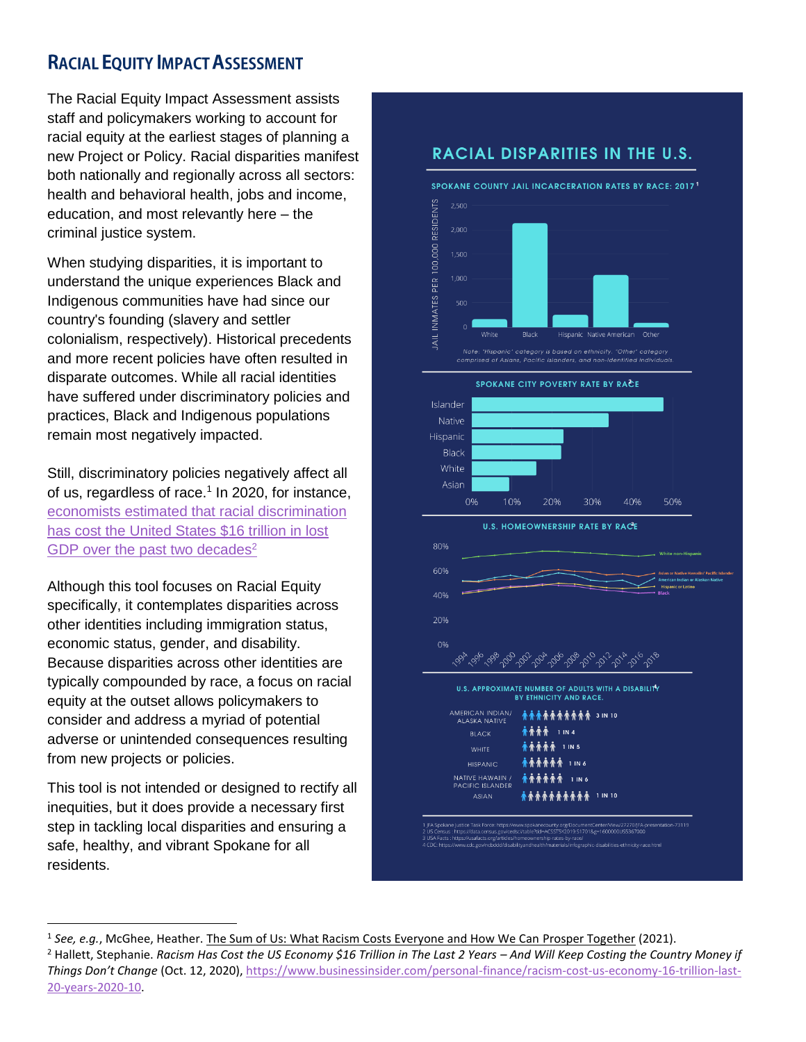# **RACIAL EQUITY IMPACT ASSESSMENT**

The Racial Equity Impact Assessment assists staff and policymakers working to account for racial equity at the earliest stages of planning a new Project or Policy. Racial disparities manifest both nationally and regionally across all sectors: health and behavioral health, jobs and income, education, and most relevantly here – the criminal justice system.

When studying disparities, it is important to understand the unique experiences Black and Indigenous communities have had since our country's founding (slavery and settler colonialism, respectively). Historical precedents and more recent policies have often resulted in disparate outcomes. While all racial identities have suffered under discriminatory policies and practices, Black and Indigenous populations remain most negatively impacted.

Still, discriminatory policies negatively affect all of us, regardless of race.<sup>1</sup> In 2020, for instance, [economists estimated that racial discrimination](https://www.businessinsider.com/personal-finance/racism-cost-us-economy-16-trillion-last-20-years-2020-10)  has cost the [United States \\$16 trillion in lost](https://www.businessinsider.com/personal-finance/racism-cost-us-economy-16-trillion-last-20-years-2020-10)  [GDP over the past two decades](https://www.businessinsider.com/personal-finance/racism-cost-us-economy-16-trillion-last-20-years-2020-10)<sup>2</sup>

Although this tool focuses on Racial Equity specifically, it contemplates disparities across other identities including immigration status, economic status, gender, and disability. Because disparities across other identities are typically compounded by race, a focus on racial equity at the outset allows policymakers to consider and address a myriad of potential adverse or unintended consequences resulting from new projects or policies.

This tool is not intended or designed to rectify all inequities, but it does provide a necessary first step in tackling local disparities and ensuring a safe, healthy, and vibrant Spokane for all residents.

l

## **RACIAL DISPARITIES IN THE U.S.**





**HISPANIC** NATIVE HAWAIIN /<br>PACIFIC ISLANDER **有有有有有有** 1 1N 6 **查查查查查查查查查** 1 IN 10 ASIAN

ntCenter/View/27270/JFA-presentation-73119<br>1&g=1600000US5367000 FA Spokane Justice Task Force: https://www.spokanecounty.org/Docum

<sup>&</sup>lt;sup>1</sup> See, e.g., McGhee, Heather. The Sum of Us: What Racism Costs Everyone and How We Can Prosper Together (2021). <sup>2</sup> Hallett, Stephanie. Racism Has Cost the US Economy \$16 Trillion in The Last 2 Years - And Will Keep Costing the Country Money if *Things Don't Change* (Oct. 12, 2020), [https://www.businessinsider.com/personal-finance/racism-cost-us-economy-16-trillion-last-](https://www.businessinsider.com/personal-finance/racism-cost-us-economy-16-trillion-last-20-years-2020-10)[20-years-2020-10.](https://www.businessinsider.com/personal-finance/racism-cost-us-economy-16-trillion-last-20-years-2020-10)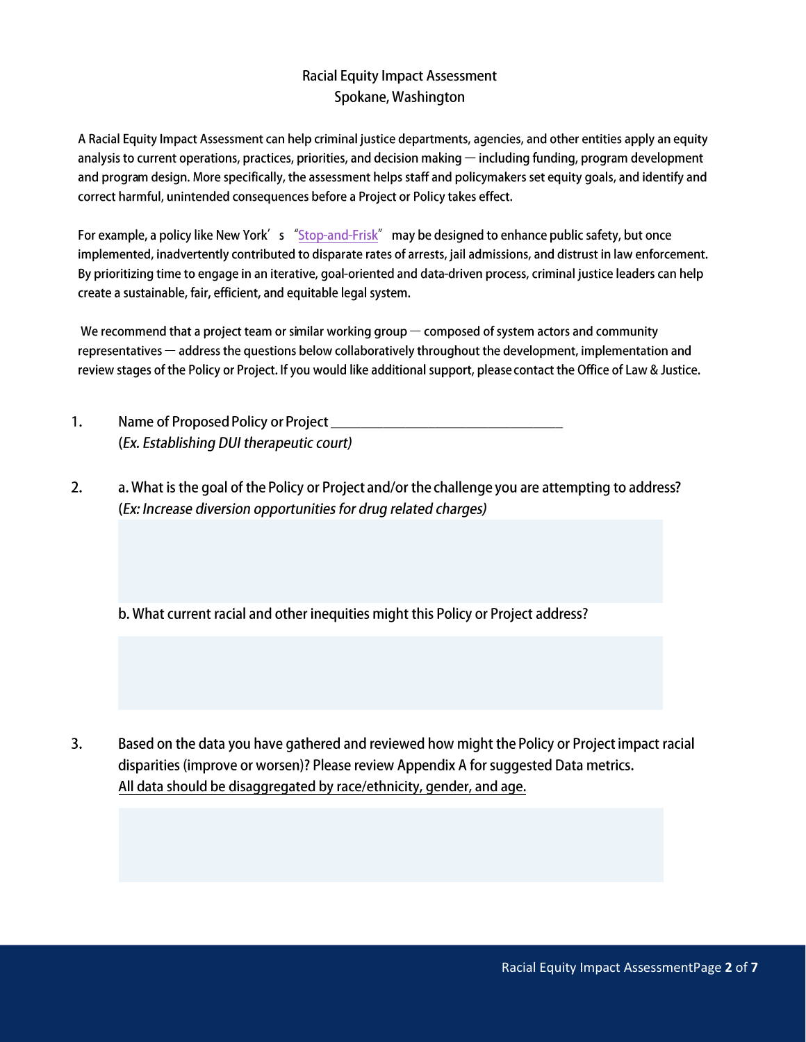## **Racial Equity Impact Assessment** Spokane, Washington

A Racial Equity Impact Assessment can help criminal justice departments, agencies, and other entities apply an equity analysis to current operations, practices, priorities, and decision making  $-$  including funding, program development and program design. More specifically, the assessment helps staff and policymakers set equity goals, and identify and correct harmful, unintended consequences before a Project or Policy takes effect.

For example, a policy like New York's "Stop-and-Frisk" may be designed to enhance public safety, but once implemented, inadvertently contributed to disparate rates of arrests, jail admissions, and distrust in law enforcement. By prioritizing time to engage in an iterative, goal-oriented and data-driven process, criminal justice leaders can help create a sustainable, fair, efficient, and equitable legal system.

We recommend that a project team or similar working group  $-$  composed of system actors and community representatives — address the questions below collaboratively throughout the development, implementation and review stages of the Policy or Project. If you would like additional support, please contact the Office of Law & Justice.

- $1.$ Name of Proposed Policy or Project Name of Proposed Policy or Project (Ex. Establishing DUI therapeutic court)
- $2.$ a. What is the goal of the Policy or Project and/or the challenge you are attempting to address? (Ex: Increase diversion opportunities for drug related charges)

b. What current racial and other inequities might this Policy or Project address?

 $3.$ Based on the data you have gathered and reviewed how might the Policy or Project impact racial disparities (improve or worsen)? Please review Appendix A for suggested Data metrics. All data should be disaggregated by race/ethnicity, gender, and age.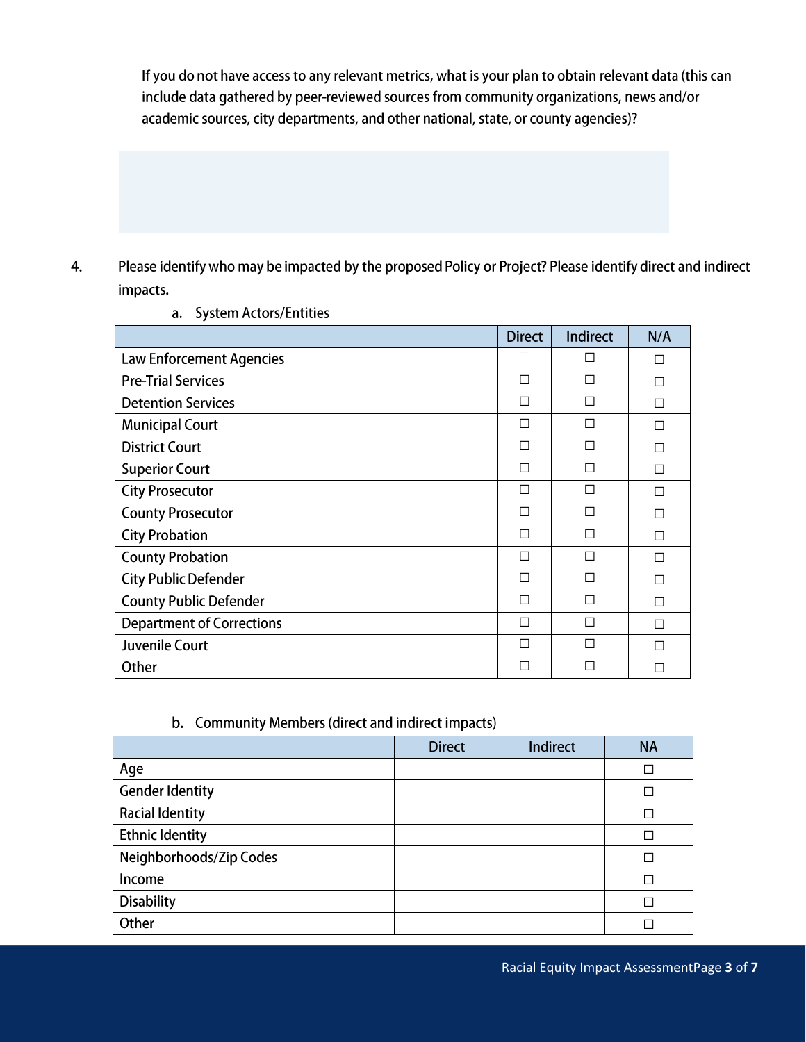If you do not have access to any relevant metrics, what is your plan to obtain relevant data (this can include data gathered by peer-reviewed sources from community organizations, news and/or academic sources, city departments, and other national, state, or county agencies)?

Please identify who may be impacted by the proposed Policy or Project? Please identify direct and indirect 4. impacts.

|                                  | <b>Direct</b> | Indirect | N/A |
|----------------------------------|---------------|----------|-----|
| <b>Law Enforcement Agencies</b>  |               | П        | П   |
| <b>Pre-Trial Services</b>        | П             | П        | П   |
| <b>Detention Services</b>        | П             | П        | П   |
| <b>Municipal Court</b>           | П             | П        | П   |
| <b>District Court</b>            | П             | П        | П   |
| <b>Superior Court</b>            | П             | П        | П   |
| <b>City Prosecutor</b>           | П             | П        | П   |
| <b>County Prosecutor</b>         | П             | П        | П   |
| <b>City Probation</b>            | П             | П        | П   |
| <b>County Probation</b>          | П             | П        | П   |
| <b>City Public Defender</b>      | П             | П        | П   |
| <b>County Public Defender</b>    | П             | П        | П   |
| <b>Department of Corrections</b> | П             | П        | П   |
| <b>Juvenile Court</b>            | П             | П        | П   |
| Other                            | П             |          |     |

a. System Actors/Entities

### b. Community Members (direct and indirect impacts)

|                         | <b>Direct</b> | Indirect | <b>NA</b> |
|-------------------------|---------------|----------|-----------|
| Age                     |               |          |           |
| <b>Gender Identity</b>  |               |          |           |
| <b>Racial Identity</b>  |               |          |           |
| <b>Ethnic Identity</b>  |               |          |           |
| Neighborhoods/Zip Codes |               |          |           |
| Income                  |               |          |           |
| <b>Disability</b>       |               |          |           |
| Other                   |               |          |           |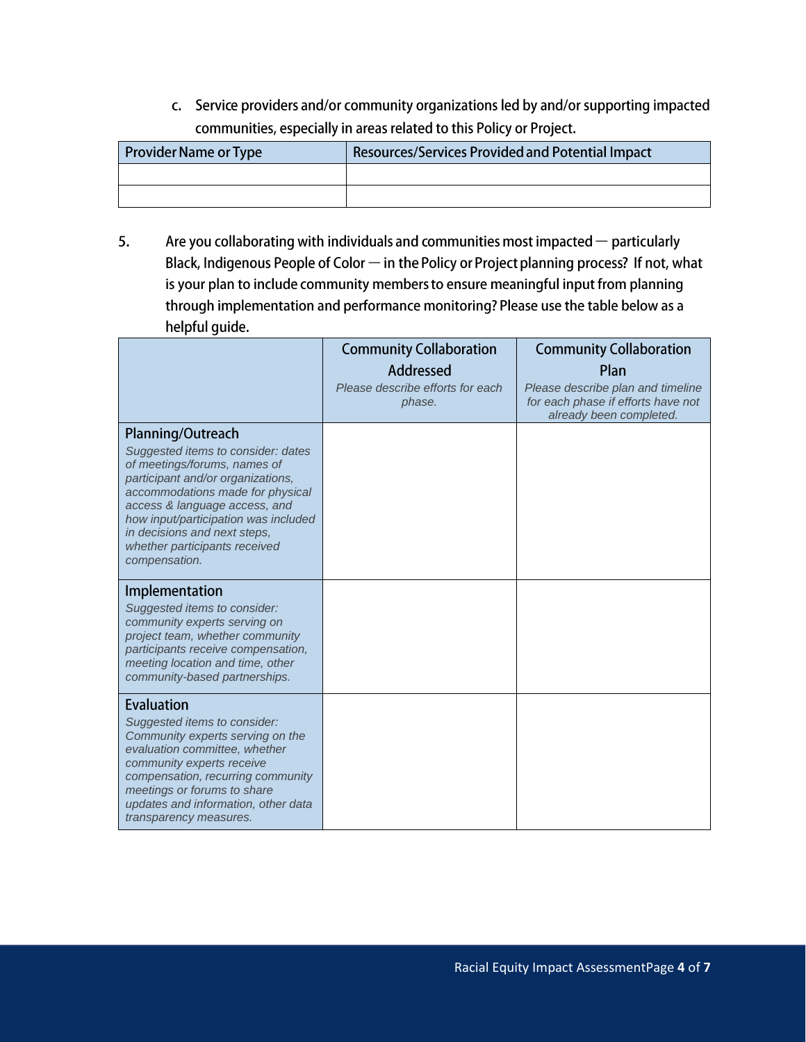c. Service providers and/or community organizations led by and/or supporting impacted communities, especially in areas related to this Policy or Project.

| <b>Provider Name or Type</b> | <b>Resources/Services Provided and Potential Impact</b> |
|------------------------------|---------------------------------------------------------|
|                              |                                                         |
|                              |                                                         |

5. Are you collaborating with individuals and communities most impacted  $-$  particularly Black, Indigenous People of Color  $-$  in the Policy or Project planning process? If not, what is your plan to include community members to ensure meaningful input from planning through implementation and performance monitoring? Please use the table below as a helpful quide.

|                                                                                                                                                                                                                                                                                                                             | <b>Community Collaboration</b><br>Addressed<br>Please describe efforts for each<br>phase. | <b>Community Collaboration</b><br>Plan<br>Please describe plan and timeline<br>for each phase if efforts have not<br>already been completed. |
|-----------------------------------------------------------------------------------------------------------------------------------------------------------------------------------------------------------------------------------------------------------------------------------------------------------------------------|-------------------------------------------------------------------------------------------|----------------------------------------------------------------------------------------------------------------------------------------------|
| Planning/Outreach<br>Suggested items to consider: dates<br>of meetings/forums, names of<br>participant and/or organizations.<br>accommodations made for physical<br>access & language access, and<br>how input/participation was included<br>in decisions and next steps,<br>whether participants received<br>compensation. |                                                                                           |                                                                                                                                              |
| Implementation<br>Suggested items to consider:<br>community experts serving on<br>project team, whether community<br>participants receive compensation,<br>meeting location and time, other<br>community-based partnerships.                                                                                                |                                                                                           |                                                                                                                                              |
| <b>Evaluation</b><br>Suggested items to consider:<br>Community experts serving on the<br>evaluation committee, whether<br>community experts receive<br>compensation, recurring community<br>meetings or forums to share<br>updates and information, other data<br>transparency measures.                                    |                                                                                           |                                                                                                                                              |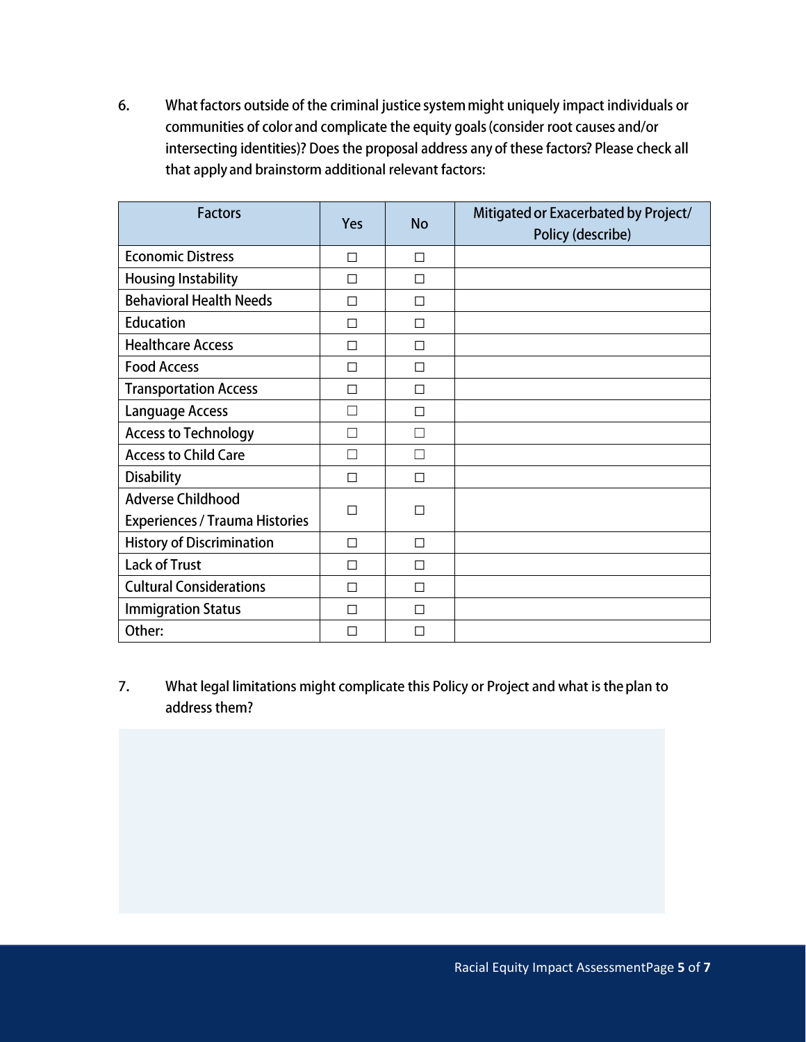6. What factors outside of the criminal justice system might uniquely impact individuals or communities of color and complicate the equity goals (consider root causes and/or intersecting identities)? Does the proposal address any of these factors? Please check all that apply and brainstorm additional relevant factors:

| <b>Factors</b>                        | Yes | <b>No</b> | Mitigated or Exacerbated by Project/<br>Policy (describe) |
|---------------------------------------|-----|-----------|-----------------------------------------------------------|
| <b>Economic Distress</b>              | П   | П         |                                                           |
| <b>Housing Instability</b>            | П   | П         |                                                           |
| <b>Behavioral Health Needs</b>        | П   | П         |                                                           |
| <b>Education</b>                      | П   | □         |                                                           |
| <b>Healthcare Access</b>              | П   | П         |                                                           |
| <b>Food Access</b>                    | П   | П         |                                                           |
| <b>Transportation Access</b>          | П   | П         |                                                           |
| <b>Language Access</b>                |     | П         |                                                           |
| <b>Access to Technology</b>           |     |           |                                                           |
| <b>Access to Child Care</b>           |     | ×.        |                                                           |
| <b>Disability</b>                     | П   | П         |                                                           |
| <b>Adverse Childhood</b>              | H   | П         |                                                           |
| <b>Experiences / Trauma Histories</b> |     |           |                                                           |
| <b>History of Discrimination</b>      | П   | П         |                                                           |
| <b>Lack of Trust</b>                  | П   | П         |                                                           |
| <b>Cultural Considerations</b>        | П   | П         |                                                           |
| <b>Immigration Status</b>             | П   | П         |                                                           |
| Other:                                |     | ΙI        |                                                           |

What legal limitations might complicate this Policy or Project and what is the plan to 7. address them?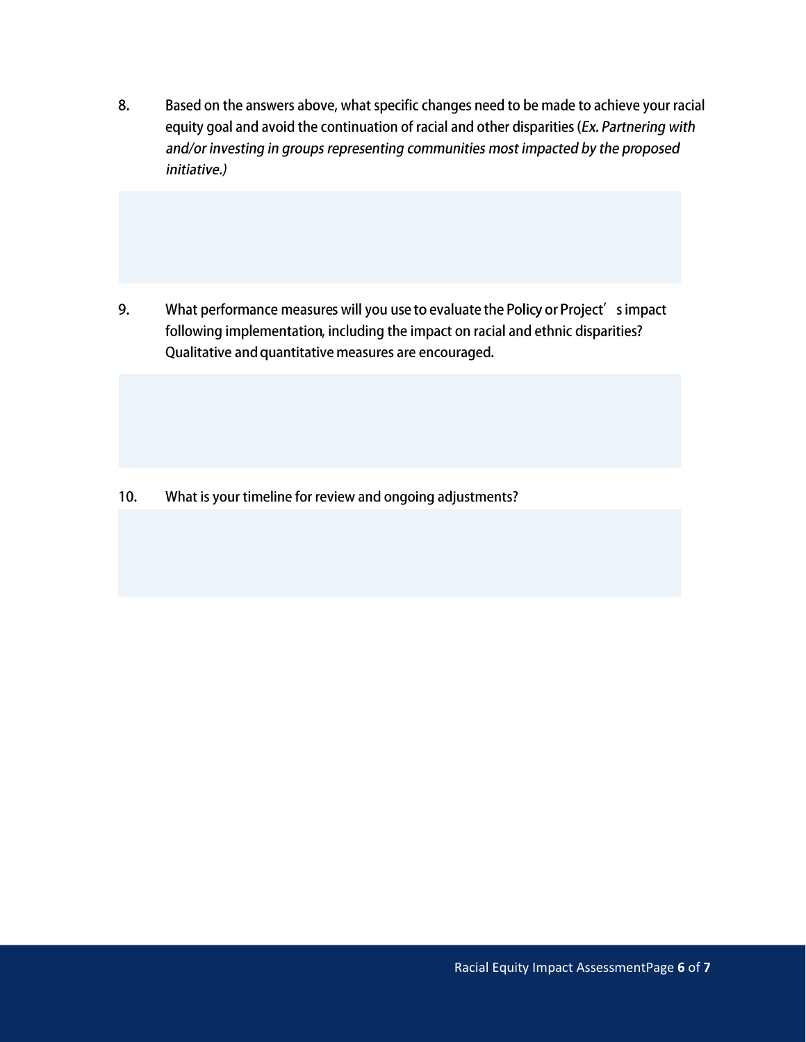8. Based on the answers above, what specific changes need to be made to achieve your racial equity goal and avoid the continuation of racial and other disparities (Ex. Partnering with and/or investing in groups representing communities most impacted by the proposed initiative.)

What performance measures will you use to evaluate the Policy or Project's impact 9. following implementation, including the impact on racial and ethnic disparities? Qualitative and quantitative measures are encouraged.

What is your timeline for review and ongoing adjustments?  $10.$